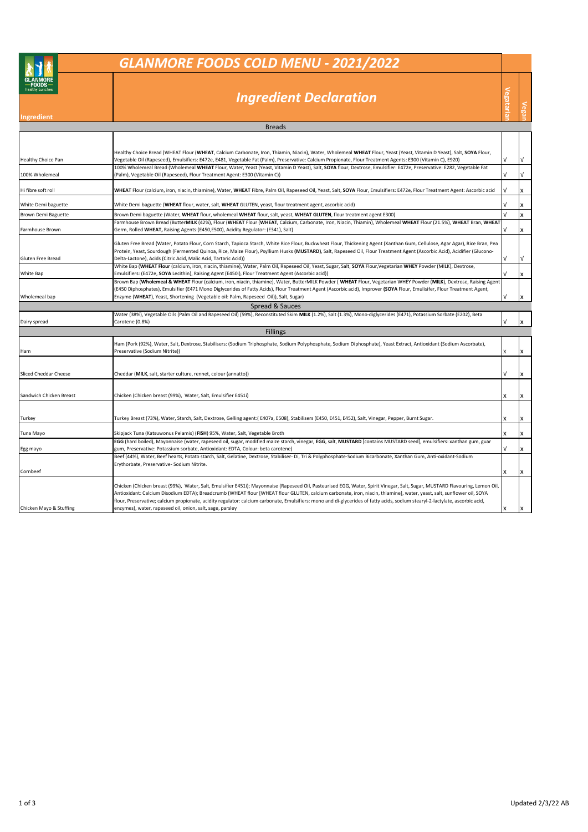## *GLANMORE FOODS COLD MENU - 2021/2022*

## *Ingredient Declaration*

| <b>Breads</b>                |                                                                                                                                                                                                                                                                  |    |           |  |  |  |
|------------------------------|------------------------------------------------------------------------------------------------------------------------------------------------------------------------------------------------------------------------------------------------------------------|----|-----------|--|--|--|
|                              |                                                                                                                                                                                                                                                                  |    |           |  |  |  |
|                              | Healthy Choice Bread (WHEAT Flour (WHEAT, Calcium Carbonate, Iron, Thiamin, Niacin), Water, Wholemeal WHEAT Flour, Yeast (Yeast, Vitamin D Yeast), Salt, SOYA Flour,                                                                                             |    |           |  |  |  |
| <b>Healthy Choice Pan</b>    | Vegetable Oil (Rapeseed), Emulsifiers: E472e, E481, Vegetable Fat (Palm), Preservative: Calcium Propionate, Flour Treatment Agents: E300 (Vitamin C), E920)                                                                                                      | ν  | V         |  |  |  |
|                              | 100% Wholemeal Bread (Wholemeal WHEAT Flour, Water, Yeast (Yeast, Vitamin D Yeast), Salt, SOYA flour, Dextrose, Emulsifier: E472e, Preservative: E282, Vegetable Fat                                                                                             |    |           |  |  |  |
| 100% Wholemeal               | (Palm), Vegetable Oil (Rapeseed), Flour Treatment Agent: E300 (Vitamin C))                                                                                                                                                                                       | V  | V         |  |  |  |
|                              |                                                                                                                                                                                                                                                                  |    |           |  |  |  |
| Hi fibre soft roll           | WHEAT Flour (calcium, iron, niacin, thiamine), Water, WHEAT Fibre, Palm Oil, Rapeseed Oil, Yeast, Salt, SOYA Flour, Emulsifiers: E472e, Flour Treatment Agent: Ascorbic acid                                                                                     | V  | x         |  |  |  |
| White Demi baguette          | White Demi baguette (WHEAT flour, water, salt, WHEAT GLUTEN, yeast, flour treatment agent, ascorbic acid)                                                                                                                                                        |    | x         |  |  |  |
| Brown Demi Baguette          | Brown Demi baguette (Water, WHEAT flour, wholemeal WHEAT flour, salt, yeast, WHEAT GLUTEN, flour treatment agent E300)                                                                                                                                           | V  | x         |  |  |  |
|                              | Farmhouse Brown Bread (ButterMILK (42%), Flour (WHEAT Flour (WHEAT, Calcium, Carbonate, Iron, Niacin, Thiamin), Wholemeal WHEAT Flour (21.5%), WHEAT Bran, WHEAT                                                                                                 |    |           |  |  |  |
| Farmhouse Brown              | Germ, Rolled WHEAT, Raising Agents:(E450,E500), Acidity Regulator: (E341), Salt)                                                                                                                                                                                 | νI | x         |  |  |  |
|                              | Gluten Free Bread (Water, Potato Flour, Corn Starch, Tapioca Starch, White Rice Flour, Buckwheat Flour, Thickening Agent (Xanthan Gum, Cellulose, Agar Agar), Rice Bran, Pea                                                                                     |    |           |  |  |  |
|                              | Protein, Yeast, Sourdough (Fermented Quinoa, Rice, Maize Flour), Psyllium Husks (MUSTARD), Salt, Rapeseed Oil, Flour Treatment Agent (Ascorbic Acid), Acidifier (Glucono-                                                                                        |    |           |  |  |  |
| Gluten Free Bread            | Delta-Lactone), Acids (Citric Acid, Malic Acid, Tartaric Acid))                                                                                                                                                                                                  | ν  | $\sqrt{}$ |  |  |  |
|                              | White Bap (WHEAT Flour (calcium, iron, niacin, thiamine), Water, Palm Oil, Rapeseed Oil, Yeast, Sugar, Salt, SOYA Flour, Vegetarian WHEY Powder (MILK), Dextrose,                                                                                                |    |           |  |  |  |
| White Bap                    | Emulsifiers: (E472e, SOYA Lecithin), Raising Agent (E450i), Flour Treatment Agent (Ascorbic acid))                                                                                                                                                               |    | x         |  |  |  |
|                              | Brown Bap (Wholemeal & WHEAT Flour (calcium, iron, niacin, thiamine), Water, ButterMILK Powder (WHEAT Flour, Vegetarian WHEY Powder (MILK), Dextrose, Raising Agent                                                                                              |    |           |  |  |  |
| Wholemeal bap                | (E450 Diphosphates), Emulsifier (E471 Mono Diglycerides of Fatty Acids), Flour Treatment Agent (Ascorbic acid), Improver (SOYA Flour, Emulisifer, Flour Treatment Agent,<br>Enzyme (WHEAT), Yeast, Shortening (Vegetable oil: Palm, Rapeseed Oil)), Salt, Sugar) |    | x         |  |  |  |
|                              |                                                                                                                                                                                                                                                                  |    |           |  |  |  |
|                              | Spread & Sauces<br>Water (38%), Vegetable Oils (Palm Oil and Rapeseed Oil) (59%), Reconstituted Skim MILK (1.2%), Salt (1.3%), Mono-diglycerides (E471), Potassium Sorbate (E202), Beta                                                                          |    |           |  |  |  |
| Dairy spread                 | Carotene (0.8%)                                                                                                                                                                                                                                                  | V  | x         |  |  |  |
|                              | <b>Fillings</b>                                                                                                                                                                                                                                                  |    |           |  |  |  |
|                              | Ham (Pork (92%), Water, Salt, Dextrose, Stabilisers: (Sodium Triphosphate, Sodium Polyphosphate, Sodium Diphosphate), Yeast Extract, Antioxidant (Sodium Ascorbate),                                                                                             |    |           |  |  |  |
| Ham                          | Preservative (Sodium Nitrite))                                                                                                                                                                                                                                   | x  | x         |  |  |  |
|                              |                                                                                                                                                                                                                                                                  |    |           |  |  |  |
|                              |                                                                                                                                                                                                                                                                  |    |           |  |  |  |
| <b>Sliced Cheddar Cheese</b> | Cheddar (MILK, salt, starter culture, rennet, colour (annatto))                                                                                                                                                                                                  | ν  | x         |  |  |  |
|                              |                                                                                                                                                                                                                                                                  |    |           |  |  |  |
| Sandwich Chicken Breast      | Chicken (Chicken breast (99%), Water, Salt, Emulsifier E451i)                                                                                                                                                                                                    | x  | x         |  |  |  |
|                              |                                                                                                                                                                                                                                                                  |    |           |  |  |  |
|                              |                                                                                                                                                                                                                                                                  |    |           |  |  |  |
| Turkey                       | Turkey Breast (73%), Water, Starch, Salt, Dextrose, Gelling agent:(E407a, E508), Stabilisers (E450, E451, E452), Salt, Vinegar, Pepper, Burnt Sugar.                                                                                                             | x  | x         |  |  |  |
| Tuna Mayo                    | Skipjack Tuna (Katsuwonus Pelamis) (FISH) 95%, Water, Salt, Vegetable Broth                                                                                                                                                                                      | x  | x         |  |  |  |
|                              | EGG (hard boiled), Mayonnaise (water, rapeseed oil, sugar, modified maize starch, vinegar, EGG, salt, MUSTARD [contains MUSTARD seed], emulsifiers: xanthan gum, guar                                                                                            |    |           |  |  |  |
| Egg mayo                     | gum, Preservative: Potassium sorbate, Antioxidant: EDTA, Colour: beta carotene)                                                                                                                                                                                  | V  | x         |  |  |  |
|                              | Beef (44%), Water, Beef hearts, Potato starch, Salt, Gelatine, Dextrose, Stabiliser- Di, Tri & Polyphosphate-Sodium Bicarbonate, Xanthan Gum, Anti-oxidant-Sodium                                                                                                |    |           |  |  |  |
|                              | Erythorbate, Preservative- Sodium Nitrite.                                                                                                                                                                                                                       |    |           |  |  |  |
| Cornbeef                     |                                                                                                                                                                                                                                                                  | x  | x         |  |  |  |
|                              | Chicken (Chicken breast (99%), Water, Salt, Emulsifier E451i); Mayonnaise (Rapeseed Oil, Pasteurised EGG, Water, Spirit Vinegar, Salt, Sugar, MUSTARD Flavouring, Lemon Oil,                                                                                     |    |           |  |  |  |
|                              | Antioxidant: Calcium Disodium EDTA); Breadcrumb (WHEAT flour [WHEAT flour GLUTEN, calcium carbonate, iron, niacin, thiamine], water, yeast, salt, sunflower oil, SOYA                                                                                            |    |           |  |  |  |
|                              | flour, Preservative; calcium propionate, acidity regulator: calcium carbonate, Emulsifiers: mono and di-glycerides of fatty acids, sodium stearyl-2-lactylate, ascorbic acid,                                                                                    |    |           |  |  |  |
| Chicken Mayo & Stuffing      | enzymes), water, rapeseed oil, onion, salt, sage, parsley                                                                                                                                                                                                        | x  | X         |  |  |  |

**Vegatarian Vegan**

Vegatar

**Ingredient**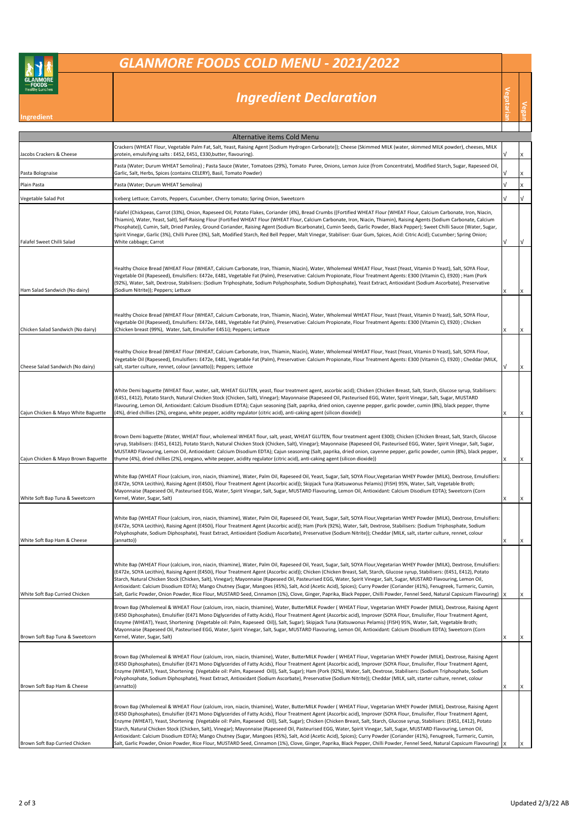## *GLANMORE FOODS COLD MENU - 2021/2022*

## *Ingredient Declaration*

| <b>Healthy Lunches</b><br>Ingredient | <b>Ingredient Declaration</b>                                                                                                                                                                                                                                                                                                                                                                                                                                                                                                                                                                                                                                                                                                                                                                                                                                                                                                                                                                                                                                       | egataria | Vegan     |
|--------------------------------------|---------------------------------------------------------------------------------------------------------------------------------------------------------------------------------------------------------------------------------------------------------------------------------------------------------------------------------------------------------------------------------------------------------------------------------------------------------------------------------------------------------------------------------------------------------------------------------------------------------------------------------------------------------------------------------------------------------------------------------------------------------------------------------------------------------------------------------------------------------------------------------------------------------------------------------------------------------------------------------------------------------------------------------------------------------------------|----------|-----------|
|                                      |                                                                                                                                                                                                                                                                                                                                                                                                                                                                                                                                                                                                                                                                                                                                                                                                                                                                                                                                                                                                                                                                     |          |           |
|                                      | Alternative items Cold Menu<br>Crackers (WHEAT Flour, Vegetable Palm Fat, Salt, Yeast, Raising Agent [Sodium Hydrogen Carbonate]); Cheese (Skimmed MILK (water, skimmed MILK powder), cheeses, MILK                                                                                                                                                                                                                                                                                                                                                                                                                                                                                                                                                                                                                                                                                                                                                                                                                                                                 |          |           |
| Jacobs Crackers & Cheese             | protein, emulsifying salts: E452, E451, E330, butter, flavouring).                                                                                                                                                                                                                                                                                                                                                                                                                                                                                                                                                                                                                                                                                                                                                                                                                                                                                                                                                                                                  | ν        | X         |
| Pasta Bolognaise                     | Pasta (Water; Durum WHEAT Semolina) ; Pasta Sauce (Water, Tomatoes (29%), Tomato Puree, Onions, Lemon Juice (from Concentrate), Modified Starch, Sugar, Rapeseed Oil,<br>Garlic, Salt, Herbs, Spices (contains CELERY), Basil, Tomato Powder)                                                                                                                                                                                                                                                                                                                                                                                                                                                                                                                                                                                                                                                                                                                                                                                                                       |          | X         |
| Plain Pasta                          | Pasta (Water; Durum WHEAT Semolina)                                                                                                                                                                                                                                                                                                                                                                                                                                                                                                                                                                                                                                                                                                                                                                                                                                                                                                                                                                                                                                 | ν        | X         |
| Vegetable Salad Pot                  | Iceberg Lettuce; Carrots, Peppers, Cucumber, Cherry tomato; Spring Onion, Sweetcorn                                                                                                                                                                                                                                                                                                                                                                                                                                                                                                                                                                                                                                                                                                                                                                                                                                                                                                                                                                                 | ν        | $\sqrt{}$ |
| Falafel Sweet Chilli Salad           | Falafel (Chickpeas, Carrot (33%), Onion, Rapeseed Oil, Potato Flakes, Coriander (4%), Bread Crumbs ((Fortified WHEAT Flour (WHEAT Flour, Calcium Carbonate, Iron, Niacin,<br>Thiamin), Water, Yeast, Salt), Self-Raising Flour (Fortified WHEAT Flour (WHEAT Flour, Calcium Carbonate, Iron, Niacin, Thiamin), Raising Agents (Sodium Carbonate, Calcium<br>Phosphate)), Cumin, Salt, Dried Parsley, Ground Coriander, Raising Agent (Sodium Bicarbonate), Cumin Seeds, Garlic Powder, Black Pepper); Sweet Chilli Sauce (Water, Sugar,<br>Spirit Vinegar, Garlic (3%), Chilli Puree (3%), Salt, Modified Starch, Red Bell Pepper, Malt Vinegar, Stabiliser: Guar Gum, Spices, Acid: Citric Acid); Cucumber; Spring Onion;<br>White cabbage; Carrot                                                                                                                                                                                                                                                                                                                 |          | ν         |
| Ham Salad Sandwich (No dairy)        | Healthy Choice Bread (WHEAT Flour (WHEAT, Calcium Carbonate, Iron, Thiamin, Niacin), Water, Wholemeal WHEAT Flour, Yeast (Yeast, Vitamin D Yeast), Salt, SOYA Flour,<br>Vegetable Oil (Rapeseed), Emulsifiers: E472e, E481, Vegetable Fat (Palm), Preservative: Calcium Propionate, Flour Treatment Agents: E300 (Vitamin C), E920) ; Ham (Pork<br>(92%), Water, Salt, Dextrose, Stabilisers: (Sodium Triphosphate, Sodium Polyphosphate, Sodium Diphosphate), Yeast Extract, Antioxidant (Sodium Ascorbate), Preservative<br>(Sodium Nitrite)); Peppers; Lettuce                                                                                                                                                                                                                                                                                                                                                                                                                                                                                                   |          | X         |
| Chicken Salad Sandwich (No dairy)    | Healthy Choice Bread (WHEAT Flour (WHEAT, Calcium Carbonate, Iron, Thiamin, Niacin), Water, Wholemeal WHEAT Flour, Yeast (Yeast, Vitamin D Yeast), Salt, SOYA Flour,<br>Vegetable Oil (Rapeseed), Emulsifiers: E472e, E481, Vegetable Fat (Palm), Preservative: Calcium Propionate, Flour Treatment Agents: E300 (Vitamin C), E920) ; Chicken<br>(Chicken breast (99%), Water, Salt, Emulsifier E451i); Peppers; Lettuce                                                                                                                                                                                                                                                                                                                                                                                                                                                                                                                                                                                                                                            |          | X         |
| Cheese Salad Sandwich (No dairy)     | Healthy Choice Bread (WHEAT Flour (WHEAT, Calcium Carbonate, Iron, Thiamin, Niacin), Water, Wholemeal WHEAT Flour, Yeast (Yeast, Vitamin D Yeast), Salt, SOYA Flour,<br>Vegetable Oil (Rapeseed), Emulsifiers: E472e, E481, Vegetable Fat (Palm), Preservative: Calcium Propionate, Flour Treatment Agents: E300 (Vitamin C), E920) ; Cheddar (MILK,<br>salt, starter culture, rennet, colour (annatto)); Peppers; Lettuce                                                                                                                                                                                                                                                                                                                                                                                                                                                                                                                                                                                                                                          |          | х         |
| Cajun Chicken & Mayo White Baguette  | White Demi baguette (WHEAT flour, water, salt, WHEAT GLUTEN, yeast, flour treatment agent, ascorbic acid); Chicken (Chicken Breast, Salt, Starch, Glucose syrup, Stabilisers:<br>(E451, E412), Potato Starch, Natural Chicken Stock (Chicken, Salt), Vinegar); Mayonnaise (Rapeseed Oil, Pasteurised EGG, Water, Spirit Vinegar, Salt, Sugar, MUSTARD<br>Flavouring, Lemon Oil, Antioxidant: Calcium Disodium EDTA); Cajun seasoning (Salt, paprika, dried onion, cayenne pepper, garlic powder, cumin (8%), black pepper, thyme<br>(4%), dried chillies (2%), oregano, white pepper, acidity regulator (citric acid), anti-caking agent (silicon dioxide))                                                                                                                                                                                                                                                                                                                                                                                                         |          | X         |
| Cajun Chicken & Mayo Brown Baguette  | Brown Demi baguette (Water, WHEAT flour, wholemeal WHEAT flour, salt, yeast, WHEAT GLUTEN, flour treatment agent E300); Chicken (Chicken Breast, Salt, Starch, Glucose<br>syrup, Stabilisers: (E451, E412), Potato Starch, Natural Chicken Stock (Chicken, Salt), Vinegar); Mayonnaise (Rapeseed Oil, Pasteurised EGG, Water, Spirit Vinegar, Salt, Sugar,<br>MUSTARD Flavouring, Lemon Oil, Antioxidant: Calcium Disodium EDTA); Cajun seasoning (Salt, paprika, dried onion, cayenne pepper, garlic powder, cumin (8%), black pepper,<br>thyme (4%), dried chillies (2%), oregano, white pepper, acidity regulator (citric acid), anti-caking agent (silicon dioxide))                                                                                                                                                                                                                                                                                                                                                                                            |          | X         |
| White Soft Bap Tuna & Sweetcorn      | White Bap (WHEAT Flour (calcium, iron, niacin, thiamine), Water, Palm Oil, Rapeseed Oil, Yeast, Sugar, Salt, SOYA Flour, Vegetarian WHEY Powder (MILK), Dextrose, Emulsifiers:<br>(E472e, SOYA Lecithin), Raising Agent (E450i), Flour Treatment Agent (Ascorbic acid)); Skipjack Tuna (Katsuwonus Pelamis) (FISH) 95%, Water, Salt, Vegetable Broth;<br>Mayonnaise (Rapeseed Oil, Pasteurised EGG, Water, Spirit Vinegar, Salt, Sugar, MUSTARD Flavouring, Lemon Oil, Antioxidant: Calcium Disodium EDTA); Sweetcorn (Corn<br>Kernel, Water, Sugar, Salt)                                                                                                                                                                                                                                                                                                                                                                                                                                                                                                          | X        | X         |
| White Soft Bap Ham & Cheese          | White Bap (WHEAT Flour (calcium, iron, niacin, thiamine), Water, Palm Oil, Rapeseed Oil, Yeast, Sugar, Salt, SOYA Flour, Vegetarian WHEY Powder (MILK), Dextrose, Emulsifiers:<br>(E472e, SOYA Lecithin), Raising Agent (E450i), Flour Treatment Agent (Ascorbic acid)); Ham (Pork (92%), Water, Salt, Dextrose, Stabilisers: (Sodium Triphosphate, Sodium<br>Polyphosphate, Sodium Diphosphate), Yeast Extract, Antioxidant (Sodium Ascorbate), Preservative (Sodium Nitrite)); Cheddar (MILK, salt, starter culture, rennet, coloui<br>(annatto))                                                                                                                                                                                                                                                                                                                                                                                                                                                                                                                 |          |           |
| White Soft Bap Curried Chicken       | White Bap (WHEAT Flour (calcium, iron, niacin, thiamine), Water, Palm Oil, Rapeseed Oil, Yeast, Sugar, Salt, SOYA Flour, Vegetarian WHEY Powder (MILK), Dextrose, Emulsifiers:<br>(E472e, SOYA Lecithin), Raising Agent (E450i), Flour Treatment Agent (Ascorbic acid)); Chicken (Chicken Breast, Salt, Starch, Glucose syrup, Stabilisers: (E451, E412), Potato<br>Starch, Natural Chicken Stock (Chicken, Salt), Vinegar); Mayonnaise (Rapeseed Oil, Pasteurised EGG, Water, Spirit Vinegar, Salt, Sugar, MUSTARD Flavouring, Lemon Oil,<br>Antioxidant: Calcium Disodium EDTA); Mango Chutney (Sugar, Mangoes (45%), Salt, Acid (Acetic Acid), Spices); Curry Powder (Coriander (41%), Fenugreek, Turmeric, Cumin,<br>Salt, Garlic Powder, Onion Powder, Rice Flour, MUSTARD Seed, Cinnamon (1%), Clove, Ginger, Paprika, Black Pepper, Chilli Powder, Fennel Seed, Natural Capsicum Flavouring)                                                                                                                                                                 | X        | X         |
| Brown Soft Bap Tuna & Sweetcorn      | Brown Bap (Wholemeal & WHEAT Flour (calcium, iron, niacin, thiamine), Water, ButterMILK Powder (WHEAT Flour, Vegetarian WHEY Powder (MILK), Dextrose, Raising Agent<br>(E450 Diphosphates), Emulsifier (E471 Mono Diglycerides of Fatty Acids), Flour Treatment Agent (Ascorbic acid), Improver (SOYA Flour, Emulisifer, Flour Treatment Agent,<br>Enzyme (WHEAT), Yeast, Shortening (Vegetable oil: Palm, Rapeseed Oil)), Salt, Sugar); Skipjack Tuna (Katsuwonus Pelamis) (FISH) 95%, Water, Salt, Vegetable Broth;<br>Mayonnaise (Rapeseed Oil, Pasteurised EGG, Water, Spirit Vinegar, Salt, Sugar, MUSTARD Flavouring, Lemon Oil, Antioxidant: Calcium Disodium EDTA); Sweetcorn (Corn<br>Kernel, Water, Sugar, Salt)                                                                                                                                                                                                                                                                                                                                          | X        | X         |
| Brown Soft Bap Ham & Cheese          | Brown Bap (Wholemeal & WHEAT Flour (calcium, iron, niacin, thiamine), Water, ButterMILK Powder (WHEAT Flour, Vegetarian WHEY Powder (MILK), Dextrose, Raising Agent<br>(E450 Diphosphates), Emulsifier (E471 Mono Diglycerides of Fatty Acids), Flour Treatment Agent (Ascorbic acid), Improver (SOYA Flour, Emulisifer, Flour Treatment Agent,<br>Enzyme (WHEAT), Yeast, Shortening (Vegetable oil: Palm, Rapeseed Oil)), Salt, Sugar); Ham (Pork (92%), Water, Salt, Dextrose, Stabilisers: (Sodium Triphosphate, Sodium<br>Polyphosphate, Sodium Diphosphate), Yeast Extract, Antioxidant (Sodium Ascorbate), Preservative (Sodium Nitrite)); Cheddar (MILK, salt, starter culture, rennet, colour<br>(annatto))                                                                                                                                                                                                                                                                                                                                                 |          | X         |
| Brown Soft Bap Curried Chicken       | Brown Bap (Wholemeal & WHEAT Flour (calcium, iron, niacin, thiamine), Water, ButterMILK Powder (WHEAT Flour, Vegetarian WHEY Powder (MILK), Dextrose, Raising Agent<br>(E450 Diphosphates), Emulsifier (E471 Mono Diglycerides of Fatty Acids), Flour Treatment Agent (Ascorbic acid), Improver (SOYA Flour, Emulisifer, Flour Treatment Agent,<br>Enzyme (WHEAT), Yeast, Shortening (Vegetable oil: Palm, Rapeseed Oil)), Salt, Sugar); Chicken (Chicken Breast, Salt, Starch, Glucose syrup, Stabilisers: (E451, E412), Potato<br>Starch, Natural Chicken Stock (Chicken, Salt), Vinegar); Mayonnaise (Rapeseed Oil, Pasteurised EGG, Water, Spirit Vinegar, Salt, Sugar, MUSTARD Flavouring, Lemon Oil,<br>Antioxidant: Calcium Disodium EDTA); Mango Chutney (Sugar, Mangoes (45%), Salt, Acid (Acetic Acid), Spices); Curry Powder (Coriander (41%), Fenugreek, Turmeric, Cumin,<br>Salt, Garlic Powder, Onion Powder, Rice Flour, MUSTARD Seed, Cinnamon (1%), Clove, Ginger, Paprika, Black Pepper, Chilli Powder, Fennel Seed, Natural Capsicum Flavouring) |          |           |